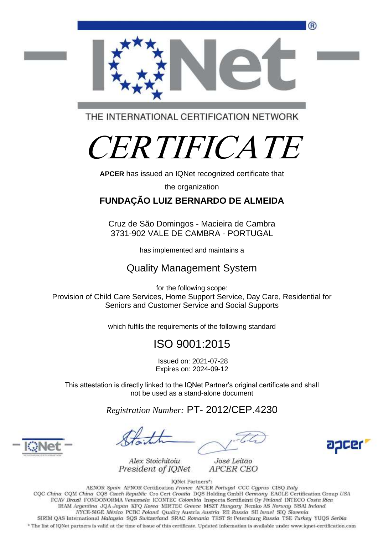

THE INTERNATIONAL CERTIFICATION NETWORK

# CERTIFICATE

**APCER** has issued an IQNet recognized certificate that

the organization

## **FUNDAÇÃO LUIZ BERNARDO DE ALMEIDA**

Cruz de São Domingos - Macieira de Cambra 3731-902 VALE DE CAMBRA - PORTUGAL

has implemented and maintains a

## Quality Management System

for the following scope: Provision of Child Care Services, Home Support Service, Day Care, Residential for Seniors and Customer Service and Social Supports

which fulfils the requirements of the following standard

# ISO 9001:2015

Issued on: 2021-07-28 Expires on: 2024-09-12

This attestation is directly linked to the IQNet Partner's original certificate and shall not be used as a stand-alone document

*Registration Number:* PT- 2012/CEP.4230

agcer



Alex Stoichitoiu President of IONet



IQNet Partners\*: AENOR Spain AFNOR Certification France APCER Portugal CCC Cyprus CISQ Italy CQC China CQM China CQS Czech Republic Cro Cert Croatia DQS Holding GmbH Germany EAGLE Certification Group USA FCAV Brazil FONDONORMA Venezuela ICONTEC Colombia Inspecta Sertifiointi Oy Finland INTECO Costa Rica IRAM Argentina JQA Japan KFQ Korea MIRTEC Greece MSZT Hungary Nemko AS Norway NSAI Ireland NYCE-SIGE México PCBC Poland Quality Austria Austria RR Russia SII Israel SIQ Slovenia SIRIM QAS International Malaysia SQS Switzerland SRAC Romania TEST St Petersburg Russia TSE Turkey YUQS Serbia

\* The list of IONet partners is valid at the time of issue of this certificate. Updated information is available under www.iqnet-certification.com